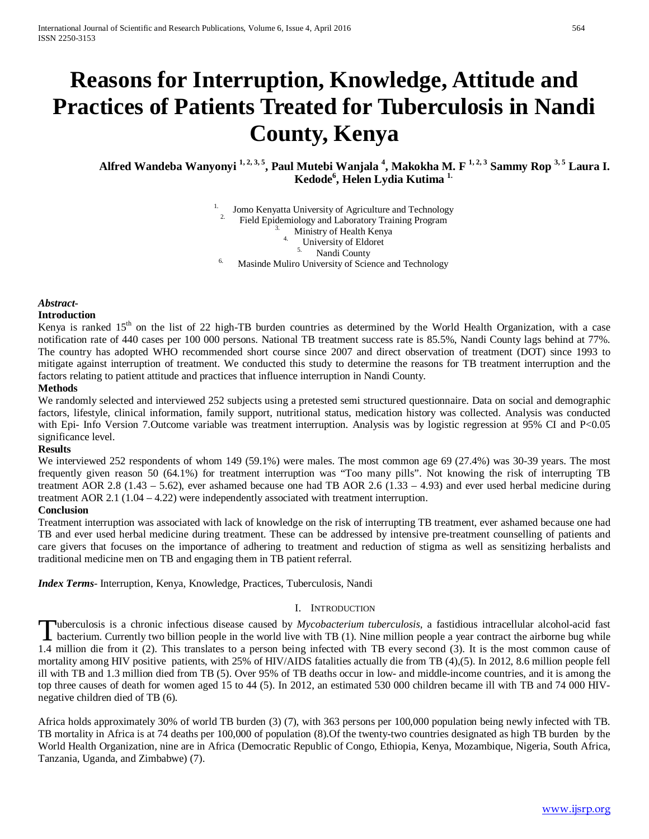# **Reasons for Interruption, Knowledge, Attitude and Practices of Patients Treated for Tuberculosis in Nandi County, Kenya**

**Alfred Wandeba Wanyonyi 1, 2, 3, 5, Paul Mutebi Wanjala 4 , Makokha M. F 1, 2, 3 Sammy Rop 3, 5 Laura I. Kedode6 , Helen Lydia Kutima 1.**

> <sup>1.</sup> Jomo Kenyatta University of Agriculture and Technology 2. Field Epidemiology and Laboratory Training Program  $\frac{3}{4}$ . Ministry of Health Kenya 4. University of Eldoret S. Nandi County  $<sup>6</sup>$  Masinde Muliro University of Science and Technology</sup>

# *Abstract***-**

## **Introduction**

Kenya is ranked  $15<sup>th</sup>$  on the list of 22 high-TB burden countries as determined by the World Health Organization, with a case notification rate of 440 cases per 100 000 persons. National TB treatment success rate is 85.5%, Nandi County lags behind at 77%. The country has adopted WHO recommended short course since 2007 and direct observation of treatment (DOT) since 1993 to mitigate against interruption of treatment. We conducted this study to determine the reasons for TB treatment interruption and the factors relating to patient attitude and practices that influence interruption in Nandi County.

## **Methods**

We randomly selected and interviewed 252 subjects using a pretested semi structured questionnaire. Data on social and demographic factors, lifestyle, clinical information, family support, nutritional status, medication history was collected. Analysis was conducted with Epi- Info Version 7.Outcome variable was treatment interruption. Analysis was by logistic regression at 95% CI and P<0.05 significance level.

## **Results**

We interviewed 252 respondents of whom 149 (59.1%) were males. The most common age 69 (27.4%) was 30-39 years. The most frequently given reason 50 (64.1%) for treatment interruption was "Too many pills". Not knowing the risk of interrupting TB treatment AOR 2.8 (1.43 – 5.62), ever ashamed because one had TB AOR 2.6 (1.33 – 4.93) and ever used herbal medicine during treatment AOR 2.1 (1.04 – 4.22) were independently associated with treatment interruption.

#### **Conclusion**

Treatment interruption was associated with lack of knowledge on the risk of interrupting TB treatment, ever ashamed because one had TB and ever used herbal medicine during treatment. These can be addressed by intensive pre-treatment counselling of patients and care givers that focuses on the importance of adhering to treatment and reduction of stigma as well as sensitizing herbalists and traditional medicine men on TB and engaging them in TB patient referral.

*Index Terms*- Interruption, Kenya, Knowledge, Practices, Tuberculosis, Nandi

#### I. INTRODUCTION

uberculosis is a chronic infectious disease caused by *Mycobacterium tuberculosis*, a fastidious intracellular alcohol-acid fast Tuberculosis is a chronic infectious disease caused by *Mycobacterium tuberculosis*, a fastidious intracellular alcohol-acid fast bacterium. Currently two billion people in the world live with TB (1). Nine million people a 1.4 million die from it (2). This translates to a person being infected with TB every second (3). It is the most common cause of mortality among HIV positive patients, with 25% of HIV/AIDS fatalities actually die from TB (4),(5). In 2012, 8.6 million people fell ill with TB and 1.3 million died from TB (5). Over 95% of TB deaths occur in low- and middle-income countries, and it is among the top three causes of death for women aged 15 to 44 (5). In 2012, an estimated 530 000 children became ill with TB and 74 000 HIVnegative children died of TB (6).

Africa holds approximately 30% of world TB burden (3) (7), with 363 persons per 100,000 population being newly infected with TB. TB mortality in Africa is at 74 deaths per 100,000 of population (8).Of the twenty-two countries designated as high TB burden by the World Health Organization, nine are in Africa (Democratic Republic of Congo, Ethiopia, Kenya, Mozambique, Nigeria, South Africa, Tanzania, Uganda, and Zimbabwe) (7).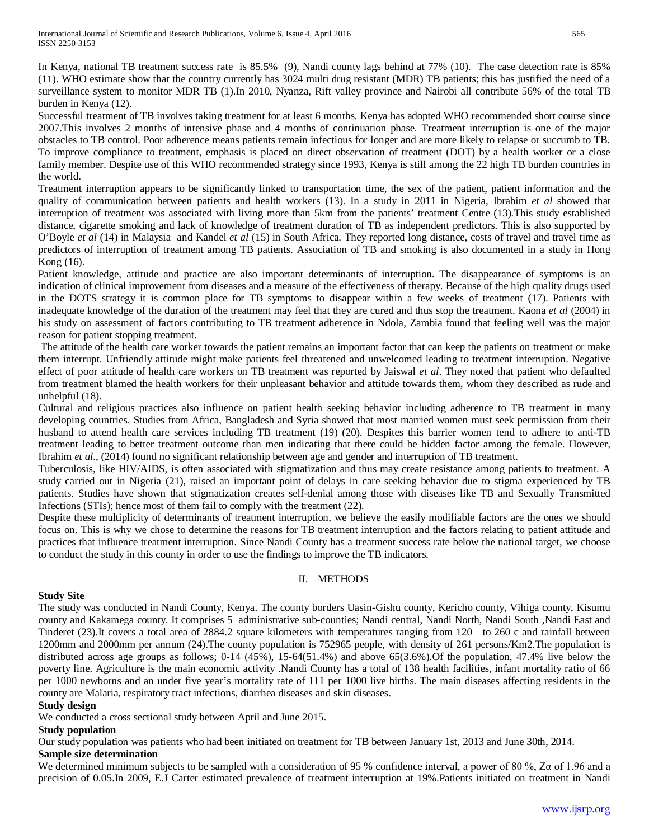In Kenya, national TB treatment success rate is 85.5% (9), Nandi county lags behind at 77% (10). The case detection rate is 85% (11). WHO estimate show that the country currently has 3024 multi drug resistant (MDR) TB patients; this has justified the need of a surveillance system to monitor MDR TB (1).In 2010, Nyanza, Rift valley province and Nairobi all contribute 56% of the total TB burden in Kenya (12).

Successful treatment of TB involves taking treatment for at least 6 months. Kenya has adopted WHO recommended short course since 2007.This involves 2 months of intensive phase and 4 months of continuation phase. Treatment interruption is one of the major obstacles to TB control. Poor adherence means patients remain infectious for longer and are more likely to relapse or succumb to TB. To improve compliance to treatment, emphasis is placed on direct observation of treatment (DOT) by a health worker or a close family member. Despite use of this WHO recommended strategy since 1993, Kenya is still among the 22 high TB burden countries in the world.

Treatment interruption appears to be significantly linked to transportation time, the sex of the patient, patient information and the quality of communication between patients and health workers (13). In a study in 2011 in Nigeria, Ibrahim *et al* showed that interruption of treatment was associated with living more than 5km from the patients' treatment Centre (13).This study established distance, cigarette smoking and lack of knowledge of treatment duration of TB as independent predictors. This is also supported by O'Boyle *et al* (14) in Malaysia and Kandel *et al* (15) in South Africa. They reported long distance, costs of travel and travel time as predictors of interruption of treatment among TB patients. Association of TB and smoking is also documented in a study in Hong Kong (16).

Patient knowledge, attitude and practice are also important determinants of interruption. The disappearance of symptoms is an indication of clinical improvement from diseases and a measure of the effectiveness of therapy. Because of the high quality drugs used in the DOTS strategy it is common place for TB symptoms to disappear within a few weeks of treatment (17). Patients with inadequate knowledge of the duration of the treatment may feel that they are cured and thus stop the treatment. Kaona *et al* (2004) in his study on assessment of factors contributing to TB treatment adherence in Ndola, Zambia found that feeling well was the major reason for patient stopping treatment.

The attitude of the health care worker towards the patient remains an important factor that can keep the patients on treatment or make them interrupt. Unfriendly attitude might make patients feel threatened and unwelcomed leading to treatment interruption. Negative effect of poor attitude of health care workers on TB treatment was reported by Jaiswal *et al*. They noted that patient who defaulted from treatment blamed the health workers for their unpleasant behavior and attitude towards them, whom they described as rude and unhelpful (18).

Cultural and religious practices also influence on patient health seeking behavior including adherence to TB treatment in many developing countries. Studies from Africa, Bangladesh and Syria showed that most married women must seek permission from their husband to attend health care services including TB treatment (19) (20). Despites this barrier women tend to adhere to anti-TB treatment leading to better treatment outcome than men indicating that there could be hidden factor among the female. However, Ibrahim *et al*., (2014) found no significant relationship between age and gender and interruption of TB treatment.

Tuberculosis, like HIV/AIDS, is often associated with stigmatization and thus may create resistance among patients to treatment. A study carried out in Nigeria (21), raised an important point of delays in care seeking behavior due to stigma experienced by TB patients. Studies have shown that stigmatization creates self-denial among those with diseases like TB and Sexually Transmitted Infections (STIs); hence most of them fail to comply with the treatment (22).

Despite these multiplicity of determinants of treatment interruption, we believe the easily modifiable factors are the ones we should focus on. This is why we chose to determine the reasons for TB treatment interruption and the factors relating to patient attitude and practices that influence treatment interruption. Since Nandi County has a treatment success rate below the national target, we choose to conduct the study in this county in order to use the findings to improve the TB indicators.

## II. METHODS

# **Study Site**

The study was conducted in Nandi County, Kenya. The county borders Uasin-Gishu county, Kericho county, Vihiga county, Kisumu county and Kakamega county. It comprises 5 administrative sub-counties; Nandi central, Nandi North, Nandi South ,Nandi East and Tinderet (23).It covers a total area of 2884.2 square kilometers with temperatures ranging from 120 to 260 c and rainfall between 1200mm and 2000mm per annum (24).The county population is 752965 people, with density of 261 persons/Km2.The population is distributed across age groups as follows; 0-14 (45%), 15-64(51.4%) and above 65(3.6%).Of the population, 47.4% live below the poverty line. Agriculture is the main economic activity .Nandi County has a total of 138 health facilities, infant mortality ratio of 66 per 1000 newborns and an under five year's mortality rate of 111 per 1000 live births. The main diseases affecting residents in the county are Malaria, respiratory tract infections, diarrhea diseases and skin diseases.

## **Study design**

We conducted a cross sectional study between April and June 2015.

# **Study population**

Our study population was patients who had been initiated on treatment for TB between January 1st, 2013 and June 30th, 2014. **Sample size determination**

We determined minimum subjects to be sampled with a consideration of 95 % confidence interval, a power of 80 %, Zα of 1.96 and a precision of 0.05.In 2009, E.J Carter estimated prevalence of treatment interruption at 19%.Patients initiated on treatment in Nandi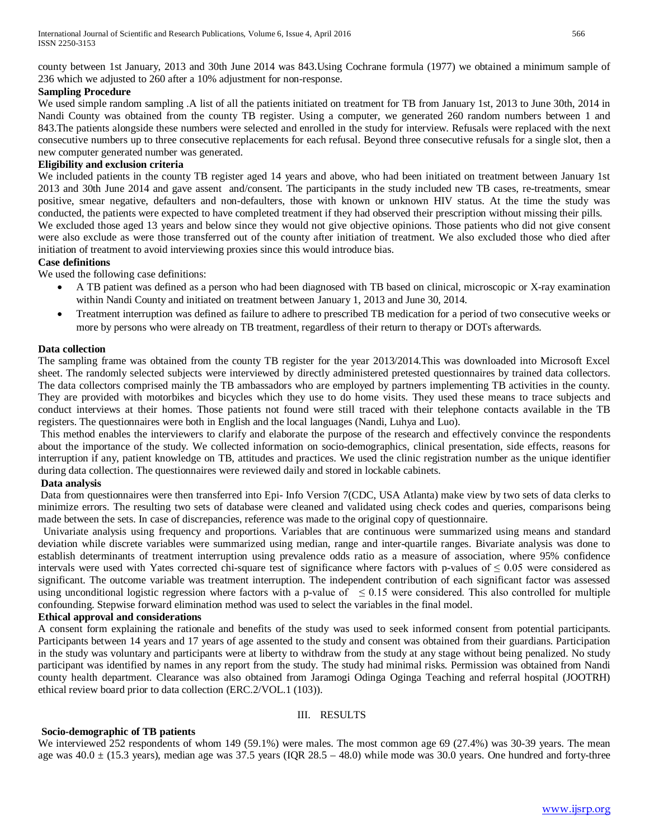county between 1st January, 2013 and 30th June 2014 was 843.Using Cochrane formula (1977) we obtained a minimum sample of 236 which we adjusted to 260 after a 10% adjustment for non-response.

## **Sampling Procedure**

We used simple random sampling .A list of all the patients initiated on treatment for TB from January 1st, 2013 to June 30th, 2014 in Nandi County was obtained from the county TB register. Using a computer, we generated 260 random numbers between 1 and 843.The patients alongside these numbers were selected and enrolled in the study for interview. Refusals were replaced with the next consecutive numbers up to three consecutive replacements for each refusal. Beyond three consecutive refusals for a single slot, then a new computer generated number was generated.

#### **Eligibility and exclusion criteria**

We included patients in the county TB register aged 14 years and above, who had been initiated on treatment between January 1st 2013 and 30th June 2014 and gave assent and/consent. The participants in the study included new TB cases, re-treatments, smear positive, smear negative, defaulters and non-defaulters, those with known or unknown HIV status. At the time the study was conducted, the patients were expected to have completed treatment if they had observed their prescription without missing their pills. We excluded those aged 13 years and below since they would not give objective opinions. Those patients who did not give consent were also exclude as were those transferred out of the county after initiation of treatment. We also excluded those who died after initiation of treatment to avoid interviewing proxies since this would introduce bias.

## **Case definitions**

We used the following case definitions:

- A TB patient was defined as a person who had been diagnosed with TB based on clinical, microscopic or X-ray examination within Nandi County and initiated on treatment between January 1, 2013 and June 30, 2014.
- Treatment interruption was defined as failure to adhere to prescribed TB medication for a period of two consecutive weeks or more by persons who were already on TB treatment, regardless of their return to therapy or DOTs afterwards.

#### **Data collection**

The sampling frame was obtained from the county TB register for the year 2013/2014.This was downloaded into Microsoft Excel sheet. The randomly selected subjects were interviewed by directly administered pretested questionnaires by trained data collectors. The data collectors comprised mainly the TB ambassadors who are employed by partners implementing TB activities in the county. They are provided with motorbikes and bicycles which they use to do home visits. They used these means to trace subjects and conduct interviews at their homes. Those patients not found were still traced with their telephone contacts available in the TB registers. The questionnaires were both in English and the local languages (Nandi, Luhya and Luo).

This method enables the interviewers to clarify and elaborate the purpose of the research and effectively convince the respondents about the importance of the study. We collected information on socio-demographics, clinical presentation, side effects, reasons for interruption if any, patient knowledge on TB, attitudes and practices. We used the clinic registration number as the unique identifier during data collection. The questionnaires were reviewed daily and stored in lockable cabinets.

## **Data analysis**

Data from questionnaires were then transferred into Epi- Info Version 7(CDC, USA Atlanta) make view by two sets of data clerks to minimize errors. The resulting two sets of database were cleaned and validated using check codes and queries, comparisons being made between the sets. In case of discrepancies, reference was made to the original copy of questionnaire.

 Univariate analysis using frequency and proportions. Variables that are continuous were summarized using means and standard deviation while discrete variables were summarized using median, range and inter-quartile ranges. Bivariate analysis was done to establish determinants of treatment interruption using prevalence odds ratio as a measure of association, where 95% confidence intervals were used with Yates corrected chi-square test of significance where factors with p-values of  $\leq 0.05$  were considered as significant. The outcome variable was treatment interruption. The independent contribution of each significant factor was assessed using unconditional logistic regression where factors with a p-value of  $\leq 0.15$  were considered. This also controlled for multiple confounding. Stepwise forward elimination method was used to select the variables in the final model.

#### **Ethical approval and considerations**

A consent form explaining the rationale and benefits of the study was used to seek informed consent from potential participants. Participants between 14 years and 17 years of age assented to the study and consent was obtained from their guardians. Participation in the study was voluntary and participants were at liberty to withdraw from the study at any stage without being penalized. No study participant was identified by names in any report from the study. The study had minimal risks. Permission was obtained from Nandi county health department. Clearance was also obtained from Jaramogi Odinga Oginga Teaching and referral hospital (JOOTRH) ethical review board prior to data collection (ERC.2/VOL.1 (103)).

#### III. RESULTS

#### **Socio-demographic of TB patients**

We interviewed 252 respondents of whom 149 (59.1%) were males. The most common age 69 (27.4%) was 30-39 years. The mean age was  $40.0 \pm (15.3 \text{ years})$ , median age was  $37.5$  years (IQR  $28.5 - 48.0$ ) while mode was  $30.0$  years. One hundred and forty-three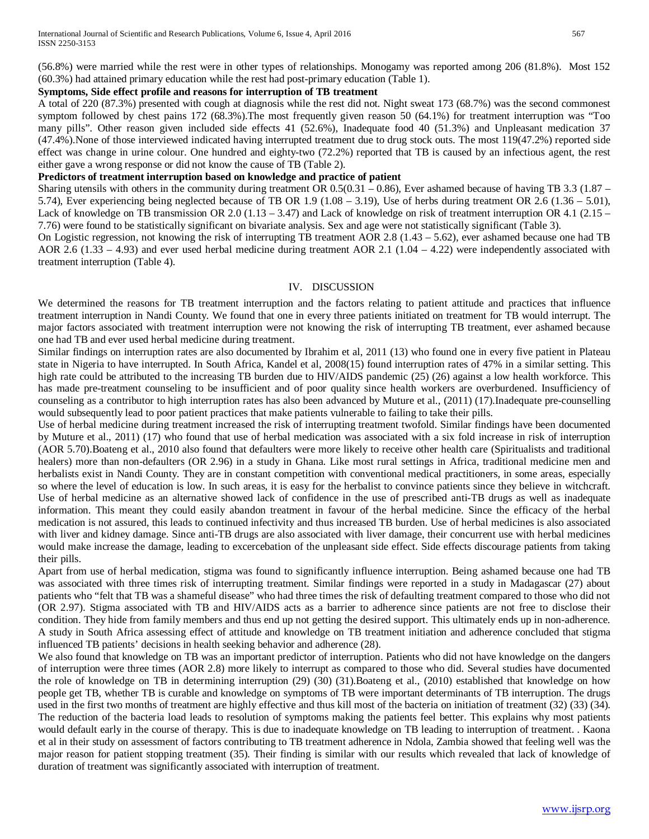(56.8%) were married while the rest were in other types of relationships. Monogamy was reported among 206 (81.8%). Most 152 (60.3%) had attained primary education while the rest had post-primary education (Table 1).

## **Symptoms, Side effect profile and reasons for interruption of TB treatment**

A total of 220 (87.3%) presented with cough at diagnosis while the rest did not. Night sweat 173 (68.7%) was the second commonest symptom followed by chest pains 172 (68.3%).The most frequently given reason 50 (64.1%) for treatment interruption was "Too many pills". Other reason given included side effects 41 (52.6%), Inadequate food 40 (51.3%) and Unpleasant medication 37 (47.4%).None of those interviewed indicated having interrupted treatment due to drug stock outs. The most 119(47.2%) reported side effect was change in urine colour. One hundred and eighty-two (72.2%) reported that TB is caused by an infectious agent, the rest either gave a wrong response or did not know the cause of TB (Table 2).

## **Predictors of treatment interruption based on knowledge and practice of patient**

Sharing utensils with others in the community during treatment OR  $0.5(0.31 - 0.86)$ , Ever ashamed because of having TB 3.3 (1.87 – 5.74), Ever experiencing being neglected because of TB OR 1.9 (1.08 – 3.19), Use of herbs during treatment OR 2.6 (1.36 – 5.01), Lack of knowledge on TB transmission OR 2.0 (1.13 – 3.47) and Lack of knowledge on risk of treatment interruption OR 4.1 (2.15 – 7.76) were found to be statistically significant on bivariate analysis. Sex and age were not statistically significant (Table 3).

On Logistic regression, not knowing the risk of interrupting TB treatment AOR 2.8  $(1.43 - 5.62)$ , ever ashamed because one had TB AOR 2.6 (1.33 – 4.93) and ever used herbal medicine during treatment AOR 2.1 (1.04 – 4.22) were independently associated with treatment interruption (Table 4).

## IV. DISCUSSION

We determined the reasons for TB treatment interruption and the factors relating to patient attitude and practices that influence treatment interruption in Nandi County. We found that one in every three patients initiated on treatment for TB would interrupt. The major factors associated with treatment interruption were not knowing the risk of interrupting TB treatment, ever ashamed because one had TB and ever used herbal medicine during treatment.

Similar findings on interruption rates are also documented by Ibrahim et al, 2011 (13) who found one in every five patient in Plateau state in Nigeria to have interrupted. In South Africa, Kandel et al, 2008(15) found interruption rates of 47% in a similar setting. This high rate could be attributed to the increasing TB burden due to HIV/AIDS pandemic (25) (26) against a low health workforce. This has made pre-treatment counseling to be insufficient and of poor quality since health workers are overburdened. Insufficiency of counseling as a contributor to high interruption rates has also been advanced by Muture et al., (2011) (17).Inadequate pre-counselling would subsequently lead to poor patient practices that make patients vulnerable to failing to take their pills.

Use of herbal medicine during treatment increased the risk of interrupting treatment twofold. Similar findings have been documented by Muture et al., 2011) (17) who found that use of herbal medication was associated with a six fold increase in risk of interruption (AOR 5.70).Boateng et al., 2010 also found that defaulters were more likely to receive other health care (Spiritualists and traditional healers) more than non-defaulters (OR 2.96) in a study in Ghana. Like most rural settings in Africa, traditional medicine men and herbalists exist in Nandi County. They are in constant competition with conventional medical practitioners, in some areas, especially so where the level of education is low. In such areas, it is easy for the herbalist to convince patients since they believe in witchcraft. Use of herbal medicine as an alternative showed lack of confidence in the use of prescribed anti-TB drugs as well as inadequate information. This meant they could easily abandon treatment in favour of the herbal medicine. Since the efficacy of the herbal medication is not assured, this leads to continued infectivity and thus increased TB burden. Use of herbal medicines is also associated with liver and kidney damage. Since anti-TB drugs are also associated with liver damage, their concurrent use with herbal medicines would make increase the damage, leading to excercebation of the unpleasant side effect. Side effects discourage patients from taking their pills.

Apart from use of herbal medication, stigma was found to significantly influence interruption. Being ashamed because one had TB was associated with three times risk of interrupting treatment. Similar findings were reported in a study in Madagascar (27) about patients who "felt that TB was a shameful disease" who had three times the risk of defaulting treatment compared to those who did not (OR 2.97). Stigma associated with TB and HIV/AIDS acts as a barrier to adherence since patients are not free to disclose their condition. They hide from family members and thus end up not getting the desired support. This ultimately ends up in non-adherence. A study in South Africa assessing effect of attitude and knowledge on TB treatment initiation and adherence concluded that stigma influenced TB patients' decisions in health seeking behavior and adherence (28).

We also found that knowledge on TB was an important predictor of interruption. Patients who did not have knowledge on the dangers of interruption were three times (AOR 2.8) more likely to interrupt as compared to those who did. Several studies have documented the role of knowledge on TB in determining interruption (29) (30) (31).Boateng et al., (2010) established that knowledge on how people get TB, whether TB is curable and knowledge on symptoms of TB were important determinants of TB interruption. The drugs used in the first two months of treatment are highly effective and thus kill most of the bacteria on initiation of treatment (32) (33) (34). The reduction of the bacteria load leads to resolution of symptoms making the patients feel better. This explains why most patients would default early in the course of therapy. This is due to inadequate knowledge on TB leading to interruption of treatment. . Kaona et al in their study on assessment of factors contributing to TB treatment adherence in Ndola, Zambia showed that feeling well was the major reason for patient stopping treatment (35). Their finding is similar with our results which revealed that lack of knowledge of duration of treatment was significantly associated with interruption of treatment.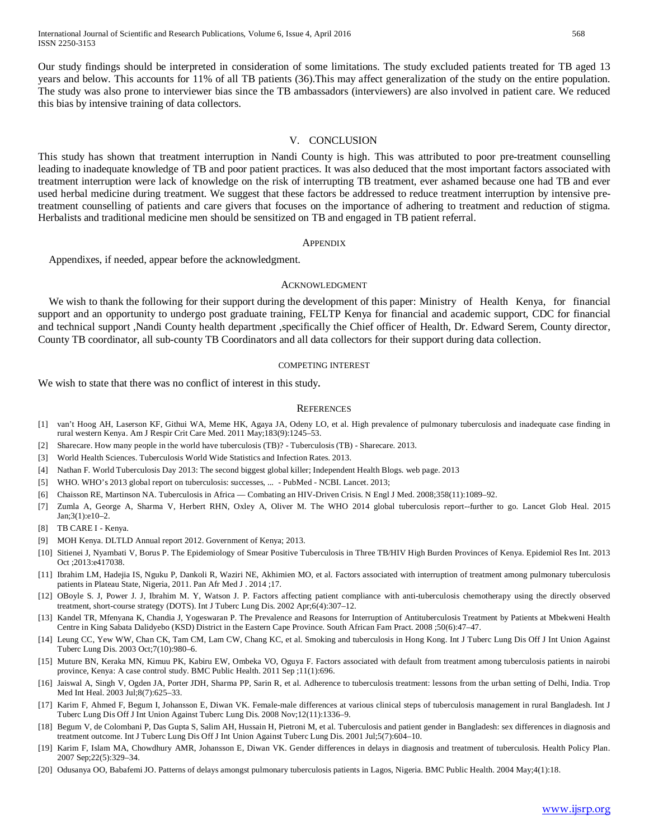Our study findings should be interpreted in consideration of some limitations. The study excluded patients treated for TB aged 13 years and below. This accounts for 11% of all TB patients (36).This may affect generalization of the study on the entire population. The study was also prone to interviewer bias since the TB ambassadors (interviewers) are also involved in patient care. We reduced this bias by intensive training of data collectors.

#### V. CONCLUSION

This study has shown that treatment interruption in Nandi County is high. This was attributed to poor pre-treatment counselling leading to inadequate knowledge of TB and poor patient practices. It was also deduced that the most important factors associated with treatment interruption were lack of knowledge on the risk of interrupting TB treatment, ever ashamed because one had TB and ever used herbal medicine during treatment. We suggest that these factors be addressed to reduce treatment interruption by intensive pretreatment counselling of patients and care givers that focuses on the importance of adhering to treatment and reduction of stigma. Herbalists and traditional medicine men should be sensitized on TB and engaged in TB patient referral.

#### **APPENDIX**

Appendixes, if needed, appear before the acknowledgment.

#### ACKNOWLEDGMENT

We wish to thank the following for their support during the development of this paper: Ministry of Health Kenya, for financial support and an opportunity to undergo post graduate training, FELTP Kenya for financial and academic support, CDC for financial and technical support ,Nandi County health department ,specifically the Chief officer of Health, Dr. Edward Serem, County director, County TB coordinator, all sub-county TB Coordinators and all data collectors for their support during data collection.

#### COMPETING INTEREST

We wish to state that there was no conflict of interest in this study.

#### **REFERENCES**

- [1] van't Hoog AH, Laserson KF, Githui WA, Meme HK, Agaya JA, Odeny LO, et al. High prevalence of pulmonary tuberculosis and inadequate case finding in rural western Kenya. Am J Respir Crit Care Med. 2011 May;183(9):1245–53.
- [2] Sharecare. How many people in the world have tuberculosis (TB)? Tuberculosis (TB) Sharecare. 2013.
- [3] World Health Sciences. Tuberculosis World Wide Statistics and Infection Rates. 2013.
- [4] Nathan F. World Tuberculosis Day 2013: The second biggest global killer; Independent Health Blogs. web page. 2013
- [5] WHO. WHO's 2013 global report on tuberculosis: successes, ... PubMed NCBI. Lancet. 2013;
- [6] Chaisson RE, Martinson NA. Tuberculosis in Africa Combating an HIV-Driven Crisis. N Engl J Med. 2008;358(11):1089–92.
- [7] Zumla A, George A, Sharma V, Herbert RHN, Oxley A, Oliver M. The WHO 2014 global tuberculosis report--further to go. Lancet Glob Heal. 2015 Jan;3(1):e10–2.
- [8] TB CARE I Kenya.
- [9] MOH Kenya. DLTLD Annual report 2012. Government of Kenya; 2013.
- [10] Sitienei J, Nyambati V, Borus P. The Epidemiology of Smear Positive Tuberculosis in Three TB/HIV High Burden Provinces of Kenya. Epidemiol Res Int. 2013 Oct ;2013:e417038.
- [11] Ibrahim LM, Hadejia IS, Nguku P, Dankoli R, Waziri NE, Akhimien MO, et al. Factors associated with interruption of treatment among pulmonary tuberculosis patients in Plateau State, Nigeria, 2011. Pan Afr Med J . 2014 ;17.
- [12] OBoyle S. J, Power J. J, Ibrahim M. Y, Watson J. P. Factors affecting patient compliance with anti-tuberculosis chemotherapy using the directly observed treatment, short-course strategy (DOTS). Int J Tuberc Lung Dis. 2002 Apr;6(4):307–12.
- [13] Kandel TR, Mfenyana K, Chandia J, Yogeswaran P. The Prevalence and Reasons for Interruption of Antituberculosis Treatment by Patients at Mbekweni Health Centre in King Sabata Dalidyebo (KSD) District in the Eastern Cape Province. South African Fam Pract. 2008 ;50(6):47–47.
- [14] Leung CC, Yew WW, Chan CK, Tam CM, Lam CW, Chang KC, et al. Smoking and tuberculosis in Hong Kong. Int J Tuberc Lung Dis Off J Int Union Against Tuberc Lung Dis. 2003 Oct;7(10):980–6.
- [15] Muture BN, Keraka MN, Kimuu PK, Kabiru EW, Ombeka VO, Oguya F. Factors associated with default from treatment among tuberculosis patients in nairobi province, Kenya: A case control study. BMC Public Health. 2011 Sep ;11(1):696.
- [16] Jaiswal A, Singh V, Ogden JA, Porter JDH, Sharma PP, Sarin R, et al. Adherence to tuberculosis treatment: lessons from the urban setting of Delhi, India. Trop Med Int Heal. 2003 Jul;8(7):625–33.
- [17] Karim F, Ahmed F, Begum I, Johansson E, Diwan VK. Female-male differences at various clinical steps of tuberculosis management in rural Bangladesh. Int J Tuberc Lung Dis Off J Int Union Against Tuberc Lung Dis. 2008 Nov;12(11):1336–9.
- [18] Begum V, de Colombani P, Das Gupta S, Salim AH, Hussain H, Pietroni M, et al. Tuberculosis and patient gender in Bangladesh: sex differences in diagnosis and treatment outcome. Int J Tuberc Lung Dis Off J Int Union Against Tuberc Lung Dis. 2001 Jul;5(7):604–10.
- [19] Karim F, Islam MA, Chowdhury AMR, Johansson E, Diwan VK. Gender differences in delays in diagnosis and treatment of tuberculosis. Health Policy Plan. 2007 Sep;22(5):329–34.
- [20] Odusanya OO, Babafemi JO. Patterns of delays amongst pulmonary tuberculosis patients in Lagos, Nigeria. BMC Public Health. 2004 May;4(1):18.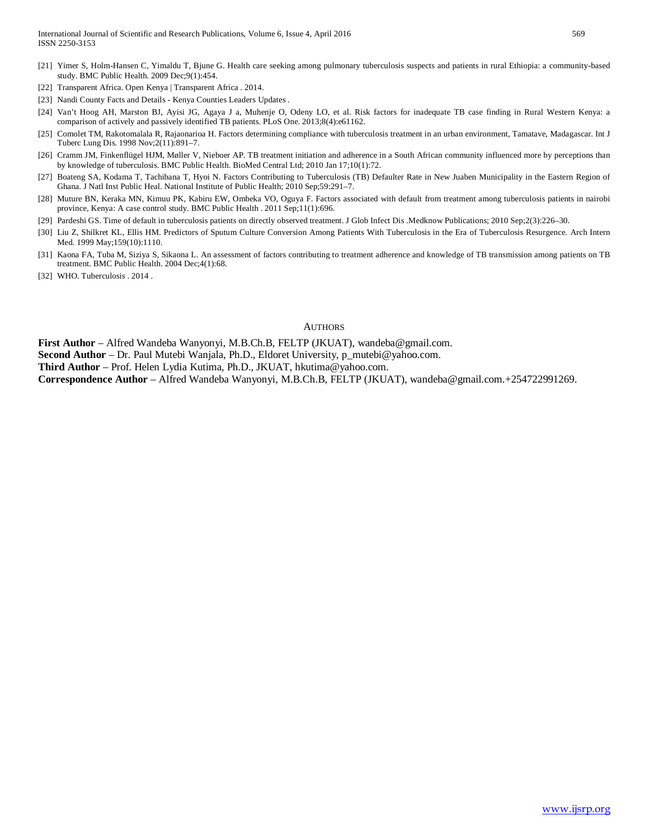- [21] Yimer S, Holm-Hansen C, Yimaldu T, Bjune G. Health care seeking among pulmonary tuberculosis suspects and patients in rural Ethiopia: a community-based study. BMC Public Health. 2009 Dec;9(1):454.
- [22] Transparent Africa. Open Kenya | Transparent Africa . 2014.
- [23] Nandi County Facts and Details Kenya Counties Leaders Updates .
- [24] Van't Hoog AH, Marston BJ, Ayisi JG, Agaya J a, Muhenje O, Odeny LO, et al. Risk factors for inadequate TB case finding in Rural Western Kenya: a comparison of actively and passively identified TB patients. PLoS One. 2013;8(4):e61162.
- [25] Comolet TM, Rakotomalala R, Rajaonarioa H. Factors determining compliance with tuberculosis treatment in an urban environment, Tamatave, Madagascar. Int J Tuberc Lung Dis. 1998 Nov;2(11):891–7.
- [26] Cramm JM, Finkenflügel HJM, Møller V, Nieboer AP. TB treatment initiation and adherence in a South African community influenced more by perceptions than by knowledge of tuberculosis. BMC Public Health. BioMed Central Ltd; 2010 Jan 17;10(1):72.
- [27] Boateng SA, Kodama T, Tachibana T, Hyoi N. Factors Contributing to Tuberculosis (TB) Defaulter Rate in New Juaben Municipality in the Eastern Region of Ghana. J Natl Inst Public Heal. National Institute of Public Health; 2010 Sep;59:291–7.
- [28] Muture BN, Keraka MN, Kimuu PK, Kabiru EW, Ombeka VO, Oguya F. Factors associated with default from treatment among tuberculosis patients in nairobi province, Kenya: A case control study. BMC Public Health . 2011 Sep;11(1):696.
- [29] Pardeshi GS. Time of default in tuberculosis patients on directly observed treatment. J Glob Infect Dis .Medknow Publications; 2010 Sep;2(3):226–30.
- [30] Liu Z, Shilkret KL, Ellis HM. Predictors of Sputum Culture Conversion Among Patients With Tuberculosis in the Era of Tuberculosis Resurgence. Arch Intern Med. 1999 May;159(10):1110.
- [31] Kaona FA, Tuba M, Siziya S, Sikaona L. An assessment of factors contributing to treatment adherence and knowledge of TB transmission among patients on TB treatment. BMC Public Health. 2004 Dec;4(1):68.
- [32] WHO. Tuberculosis . 2014.

#### **AUTHORS**

**First Author** – Alfred Wandeba Wanyonyi, M.B.Ch.B, FELTP (JKUAT), wandeba@gmail.com.

**Second Author** – Dr. Paul Mutebi Wanjala, Ph.D., Eldoret University, p\_mutebi@yahoo.com.

**Third Author** – Prof. Helen Lydia Kutima, Ph.D., JKUAT, hkutima@yahoo.com.

**Correspondence Author** – Alfred Wandeba Wanyonyi, M.B.Ch.B, FELTP (JKUAT), wandeba@gmail.com.+254722991269.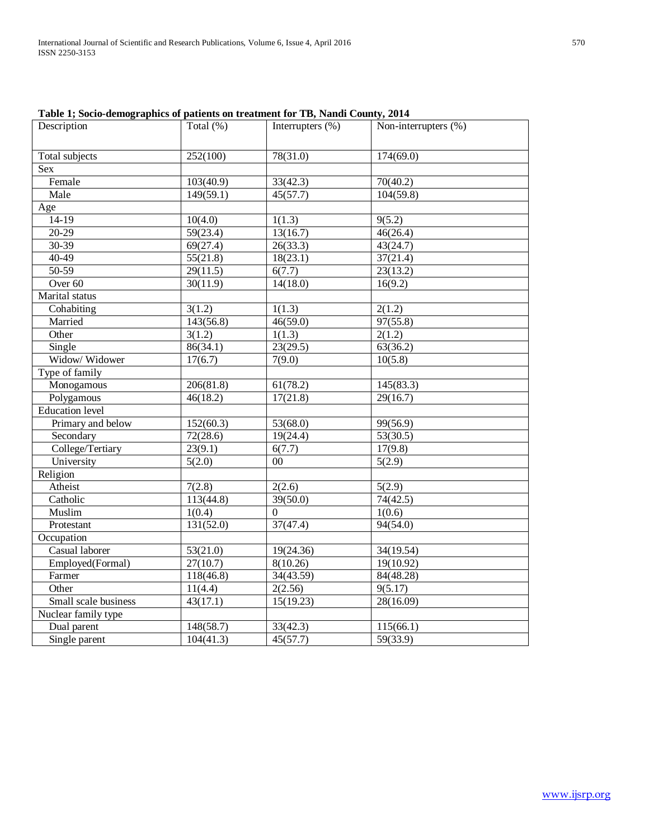| Description            | Total $(\%)$         | Interrupters $(\%)$   | Non-interrupters $(\%)$ |  |
|------------------------|----------------------|-----------------------|-------------------------|--|
| Total subjects         | 252(100)             | 78(31.0)              | 174(69.0)               |  |
| <b>Sex</b>             |                      |                       |                         |  |
| Female                 | 103(40.9)            | 33(42.3)              | 70(40.2)                |  |
| Male                   | 149(59.1)            | $\overline{45(57.7)}$ | 104(59.8)               |  |
| Age                    |                      |                       |                         |  |
| $14-19$                | 10(4.0)              | 1(1.3)                | 9(5.2)                  |  |
| $20-29$                | 59(23.4)             | 13(16.7)              | 46(26.4)                |  |
| 30-39                  | 69(27.4)             | 26(33.3)              | 43(24.7)                |  |
| $40 - 49$              | 55(21.8)             | 18(23.1)              | 37(21.4)                |  |
| $50-59$                | 29(11.5)             | 6(7.7)                | 23(13.2)                |  |
| Over <sub>60</sub>     | 30(11.9)             | 14(18.0)              | 16(9.2)                 |  |
| Marital status         |                      |                       |                         |  |
| Cohabiting             | $\overline{3}(1.2)$  | $\overline{1}(1.3)$   | 2(1.2)                  |  |
| Married                | 143(56.8)            | 46(59.0)              | 97(55.8)                |  |
| Other                  | 3(1.2)               | 1(1.3)                | 2(1.2)                  |  |
| Single                 | 86(34.1)             | 23(29.5)              | 63(36.2)                |  |
| Widow/ Widower         | 17(6.7)              | 7(9.0)                | 10(5.8)                 |  |
| Type of family         |                      |                       |                         |  |
| Monogamous             | 206(81.8)            | 61(78.2)              | 145(83.3)               |  |
| Polygamous             | 46(18.2)             | 17(21.8)              | 29(16.7)                |  |
| <b>Education</b> level |                      |                       |                         |  |
| Primary and below      | 152(60.3)            | 53(68.0)              | 99(56.9)                |  |
| Secondary              | 72(28.6)             | 19(24.4)              | 53(30.5)                |  |
| College/Tertiary       | 23(9.1)              | 6(7.7)                | 17(9.8)                 |  |
| University             | 5(2.0)               | 00                    | 5(2.9)                  |  |
| Religion               |                      |                       |                         |  |
| Atheist                | 7(2.8)               | 2(2.6)                | 5(2.9)                  |  |
| Catholic               | 113(44.8)            | 39(50.0)              | 74(42.5)                |  |
| Muslim                 | 1(0.4)               | $\boldsymbol{0}$      | 1(0.6)                  |  |
| Protestant             | 131(52.0)            | 37(47.4)              | $\overline{94(54.0)}$   |  |
| Occupation             |                      |                       |                         |  |
| Casual laborer         | 53(21.0)             | 19(24.36)             | 34(19.54)               |  |
| Employed(Formal)       | 27(10.7)             | 8(10.26)              | 19(10.92)               |  |
| Farmer                 | 118(46.8)            | 34(43.59)             | 84(48.28)               |  |
| Other                  | $\overline{11(4.4)}$ | 2(2.56)               | 9(5.17)                 |  |
| Small scale business   | 43(17.1)             | 15(19.23)             | 28(16.09)               |  |
| Nuclear family type    |                      |                       |                         |  |
| Dual parent            | 148(58.7)            | 33(42.3)              | 115(66.1)               |  |
| Single parent          | 104(41.3)            | 45(57.7)              | 59(33.9)                |  |

**Table 1; Socio-demographics of patients on treatment for TB, Nandi County, 2014**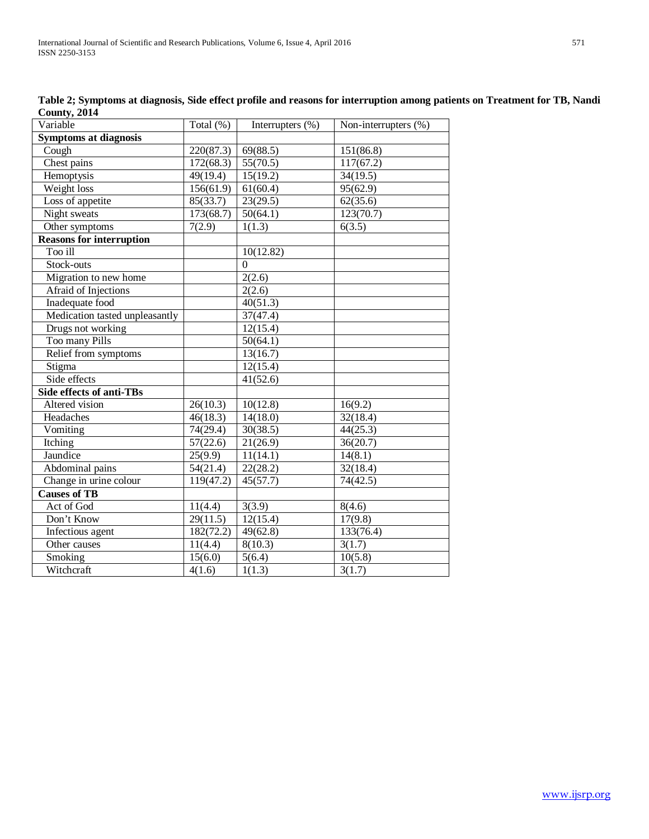| Variable                        | Total (%) | Interrupters (%)      | Non-interrupters (%) |
|---------------------------------|-----------|-----------------------|----------------------|
| <b>Symptoms at diagnosis</b>    |           |                       |                      |
| Cough                           | 220(87.3) | 69(88.5)              | 151(86.8)            |
| Chest pains                     | 172(68.3) | 55(70.5)              | 117(67.2)            |
| Hemoptysis                      | 49(19.4)  | 15(19.2)              | 34(19.5)             |
| Weight loss                     | 156(61.9) | 61(60.4)              | 95(62.9)             |
| Loss of appetite                | 85(33.7)  | 23(29.5)              | 62(35.6)             |
| Night sweats                    | 173(68.7) | 50(64.1)              | 123(70.7)            |
| Other symptoms                  | 7(2.9)    | 1(1.3)                | 6(3.5)               |
| <b>Reasons for interruption</b> |           |                       |                      |
| Too ill                         |           | 10(12.82)             |                      |
| Stock-outs                      |           | $\overline{0}$        |                      |
| Migration to new home           |           | 2(2.6)                |                      |
| Afraid of Injections            |           | 2(2.6)                |                      |
| Inadequate food                 |           | 40(51.3)              |                      |
| Medication tasted unpleasantly  |           | $\overline{37}(47.4)$ |                      |
| Drugs not working               |           | 12(15.4)              |                      |
| Too many Pills                  |           | 50(64.1)              |                      |
| Relief from symptoms            |           | 13(16.7)              |                      |
| Stigma                          |           | 12(15.4)              |                      |
| Side effects                    |           | 41(52.6)              |                      |
| <b>Side effects of anti-TBs</b> |           |                       |                      |
| Altered vision                  | 26(10.3)  | 10(12.8)              | 16(9.2)              |
| Headaches                       | 46(18.3)  | 14(18.0)              | 32(18.4)             |
| Vomiting                        | 74(29.4)  | 30(38.5)              | 44(25.3)             |
| Itching                         | 57(22.6)  | 21(26.9)              | 36(20.7)             |
| Jaundice                        | 25(9.9)   | 11(14.1)              | 14(8.1)              |
| Abdominal pains                 | 54(21.4)  | 22(28.2)              | 32(18.4)             |
| Change in urine colour          | 119(47.2) | 45(57.7)              | 74(42.5)             |
| <b>Causes of TB</b>             |           |                       |                      |
| Act of God                      | 11(4.4)   | 3(3.9)                | 8(4.6)               |
| Don't Know                      | 29(11.5)  | 12(15.4)              | 17(9.8)              |
| Infectious agent                | 182(72.2) | 49(62.8)              | 133(76.4)            |
| Other causes                    | 11(4.4)   | 8(10.3)               | 3(1.7)               |
| Smoking                         | 15(6.0)   | 5(6.4)                | 10(5.8)              |
| Witchcraft                      | 4(1.6)    | 1(1.3)                | 3(1.7)               |

**Table 2; Symptoms at diagnosis, Side effect profile and reasons for interruption among patients on Treatment for TB, Nandi County, 2014**